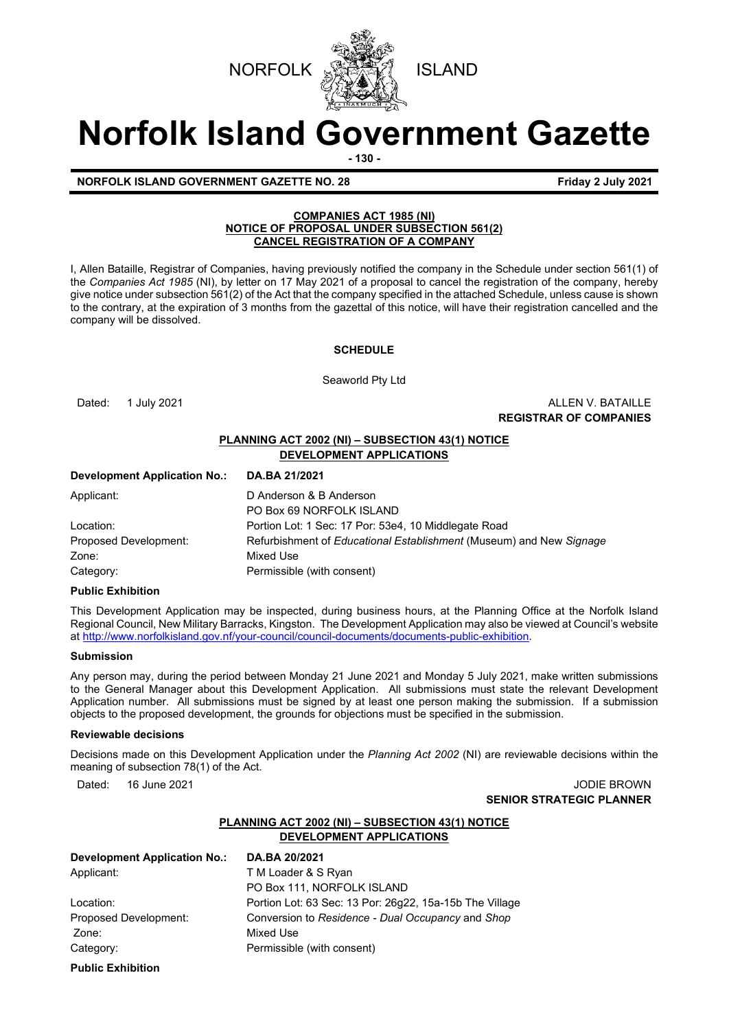



# **Norfolk Island Government Gazette**

**- 130 -**

**NORFOLK ISLAND GOVERNMENT GAZETTE NO. 28 Friday 2 July 2021** 

# **COMPANIES ACT 1985 (NI) NOTICE OF PROPOSAL UNDER SUBSECTION 561(2) CANCEL REGISTRATION OF A COMPANY**

I, Allen Bataille, Registrar of Companies, having previously notified the company in the Schedule under section 561(1) of the *Companies Act 1985* (NI), by letter on 17 May 2021 of a proposal to cancel the registration of the company, hereby give notice under subsection 561(2) of the Act that the company specified in the attached Schedule, unless cause is shown to the contrary, at the expiration of 3 months from the gazettal of this notice, will have their registration cancelled and the company will be dissolved.

## **SCHEDULE**

Seaworld Pty Ltd

Dated: 1 July 2021 **ALLEN V. BATAILLE REGISTRAR OF COMPANIES**

# **PLANNING ACT 2002 (NI) – SUBSECTION 43(1) NOTICE DEVELOPMENT APPLICATIONS**

| DA.BA 21/2021                                                       |
|---------------------------------------------------------------------|
| D Anderson & B Anderson                                             |
| PO Box 69 NORFOLK ISLAND                                            |
| Portion Lot: 1 Sec: 17 Por: 53e4, 10 Middlegate Road                |
| Refurbishment of Educational Establishment (Museum) and New Signage |
| Mixed Use                                                           |
| Permissible (with consent)                                          |
|                                                                     |

## **Public Exhibition**

This Development Application may be inspected, during business hours, at the Planning Office at the Norfolk Island Regional Council, New Military Barracks, Kingston. The Development Application may also be viewed at Council's website a[t http://www.norfolkisland.gov.nf/your-council/council-documents/documents-public-exhibition.](http://www.norfolkisland.gov.nf/your-council/council-documents/documents-public-exhibition)

## **Submission**

Any person may, during the period between Monday 21 June 2021 and Monday 5 July 2021, make written submissions to the General Manager about this Development Application. All submissions must state the relevant Development Application number. All submissions must be signed by at least one person making the submission. If a submission objects to the proposed development, the grounds for objections must be specified in the submission.

## **Reviewable decisions**

Decisions made on this Development Application under the *Planning Act 2002* (NI) are reviewable decisions within the meaning of subsection 78(1) of the Act.

#### Dated: 16 June 2021 JODIE BROWN **SENIOR STRATEGIC PLANNER**

# **PLANNING ACT 2002 (NI) – SUBSECTION 43(1) NOTICE DEVELOPMENT APPLICATIONS**

| <b>Development Application No.:</b> | DA.BA 20/2021                                           |
|-------------------------------------|---------------------------------------------------------|
| Applicant:                          | T M Loader & S Ryan                                     |
|                                     | PO Box 111, NORFOLK ISLAND                              |
| Location:                           | Portion Lot: 63 Sec: 13 Por: 26q22, 15a-15b The Village |
| Proposed Development:               | Conversion to Residence - Dual Occupancy and Shop       |
| Zone:                               | Mixed Use                                               |
| Category:                           | Permissible (with consent)                              |
| <b>Public Exhibition</b>            |                                                         |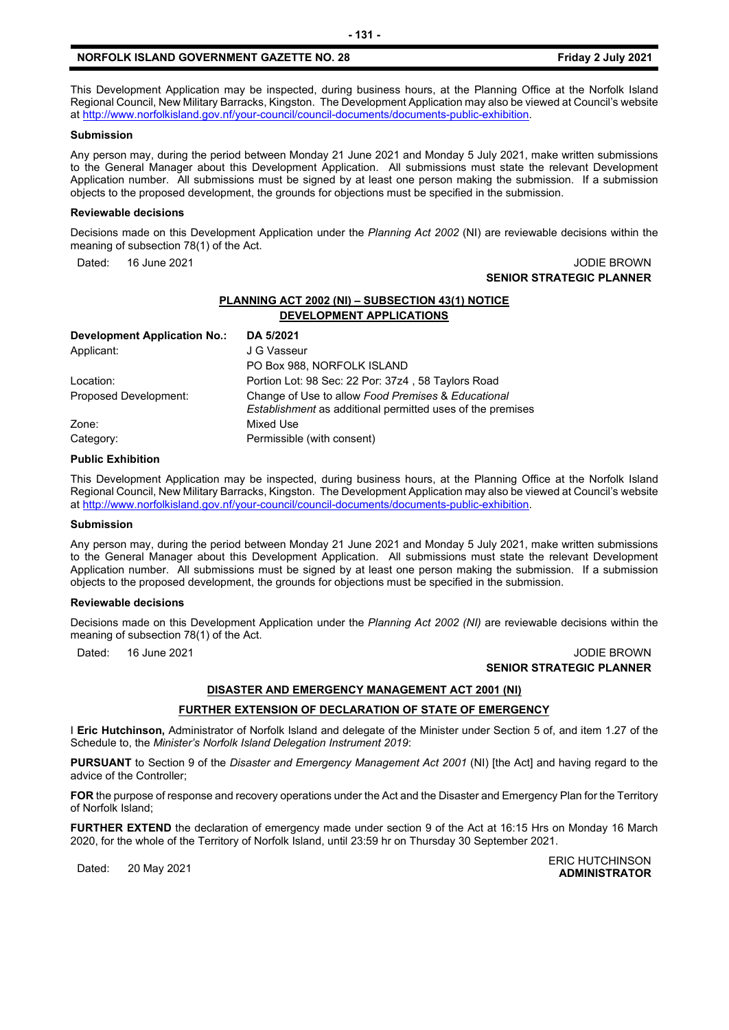## **NORFOLK ISLAND GOVERNMENT GAZETTE NO. 28 Friday 2 July 2021**

This Development Application may be inspected, during business hours, at the Planning Office at the Norfolk Island Regional Council, New Military Barracks, Kingston. The Development Application may also be viewed at Council's website a[t http://www.norfolkisland.gov.nf/your-council/council-documents/documents-public-exhibition.](http://www.norfolkisland.gov.nf/your-council/council-documents/documents-public-exhibition)

#### **Submission**

Any person may, during the period between Monday 21 June 2021 and Monday 5 July 2021, make written submissions to the General Manager about this Development Application. All submissions must state the relevant Development Application number. All submissions must be signed by at least one person making the submission. If a submission objects to the proposed development, the grounds for objections must be specified in the submission.

#### **Reviewable decisions**

Decisions made on this Development Application under the *Planning Act 2002* (NI) are reviewable decisions within the meaning of subsection 78(1) of the Act.

Dated: 16 June 2021 JODIE BROWN

# **SENIOR STRATEGIC PLANNER**

# **PLANNING ACT 2002 (NI) – SUBSECTION 43(1) NOTICE DEVELOPMENT APPLICATIONS**

| <b>Development Application No.:</b> | DA 5/2021                                                                                                               |
|-------------------------------------|-------------------------------------------------------------------------------------------------------------------------|
| Applicant:                          | J G Vasseur                                                                                                             |
|                                     | PO Box 988, NORFOLK ISLAND                                                                                              |
| Location:                           | Portion Lot: 98 Sec: 22 Por: 37z4, 58 Taylors Road                                                                      |
| Proposed Development:               | Change of Use to allow Food Premises & Educational<br><i>Establishment</i> as additional permitted uses of the premises |
| Zone:                               | Mixed Use                                                                                                               |
| Category:                           | Permissible (with consent)                                                                                              |

#### **Public Exhibition**

This Development Application may be inspected, during business hours, at the Planning Office at the Norfolk Island Regional Council, New Military Barracks, Kingston. The Development Application may also be viewed at Council's website a[t http://www.norfolkisland.gov.nf/your-council/council-documents/documents-public-exhibition.](http://www.norfolkisland.gov.nf/your-council/council-documents/documents-public-exhibition)

#### **Submission**

Any person may, during the period between Monday 21 June 2021 and Monday 5 July 2021, make written submissions to the General Manager about this Development Application. All submissions must state the relevant Development Application number. All submissions must be signed by at least one person making the submission. If a submission objects to the proposed development, the grounds for objections must be specified in the submission.

#### **Reviewable decisions**

Decisions made on this Development Application under the *Planning Act 2002 (NI)* are reviewable decisions within the meaning of subsection 78(1) of the Act.

#### Dated: 16 June 2021 JODIE BROWN **SENIOR STRATEGIC PLANNER**

# **DISASTER AND EMERGENCY MANAGEMENT ACT 2001 (NI)**

## **FURTHER EXTENSION OF DECLARATION OF STATE OF EMERGENCY**

I **Eric Hutchinson,** Administrator of Norfolk Island and delegate of the Minister under Section 5 of, and item 1.27 of the Schedule to, the *Minister's Norfolk Island Delegation Instrument 2019*:

**PURSUANT** to Section 9 of the *Disaster and Emergency Management Act 2001* (NI) [the Act] and having regard to the advice of the Controller;

**FOR** the purpose of response and recovery operations under the Act and the Disaster and Emergency Plan for the Territory of Norfolk Island;

**FURTHER EXTEND** the declaration of emergency made under section 9 of the Act at 16:15 Hrs on Monday 16 March 2020, for the whole of the Territory of Norfolk Island, until 23:59 hr on Thursday 30 September 2021.

Dated: 20 May 2021<br>Dated: 20 May 2021 **ADMINISTRATOR**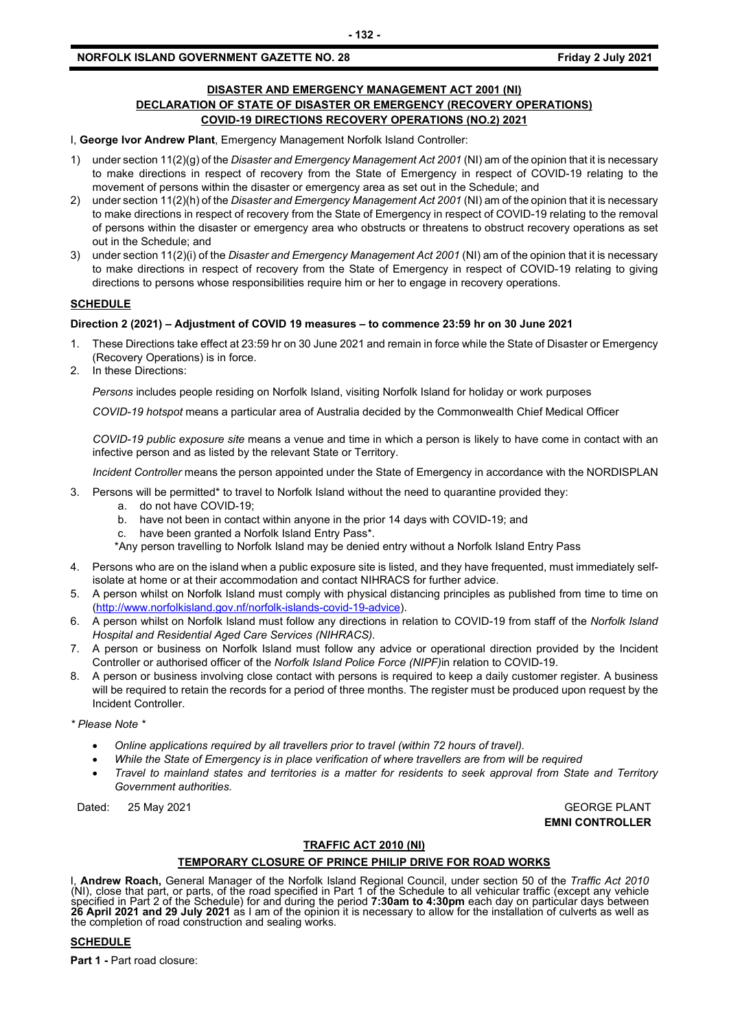## **DISASTER AND EMERGENCY MANAGEMENT ACT 2001 (NI) DECLARATION OF STATE OF DISASTER OR EMERGENCY (RECOVERY OPERATIONS) COVID-19 DIRECTIONS RECOVERY OPERATIONS (NO.2) 2021**

I, **George Ivor Andrew Plant**, Emergency Management Norfolk Island Controller:

- 1) under section 11(2)(g) of the *Disaster and Emergency Management Act 2001* (NI) am of the opinion that it is necessary to make directions in respect of recovery from the State of Emergency in respect of COVID-19 relating to the movement of persons within the disaster or emergency area as set out in the Schedule; and
- 2) under section 11(2)(h) of the *Disaster and Emergency Management Act 2001* (NI) am of the opinion that it is necessary to make directions in respect of recovery from the State of Emergency in respect of COVID-19 relating to the removal of persons within the disaster or emergency area who obstructs or threatens to obstruct recovery operations as set out in the Schedule; and
- 3) under section 11(2)(i) of the *Disaster and Emergency Management Act 2001* (NI) am of the opinion that it is necessary to make directions in respect of recovery from the State of Emergency in respect of COVID-19 relating to giving directions to persons whose responsibilities require him or her to engage in recovery operations.

## **SCHEDULE**

## **Direction 2 (2021) – Adjustment of COVID 19 measures – to commence 23:59 hr on 30 June 2021**

- 1. These Directions take effect at 23:59 hr on 30 June 2021 and remain in force while the State of Disaster or Emergency (Recovery Operations) is in force.
- 2. In these Directions:

*Persons* includes people residing on Norfolk Island, visiting Norfolk Island for holiday or work purposes

*COVID-19 hotspot* means a particular area of Australia decided by the Commonwealth Chief Medical Officer

*COVID-19 public exposure site* means a venue and time in which a person is likely to have come in contact with an infective person and as listed by the relevant State or Territory.

*Incident Controller* means the person appointed under the State of Emergency in accordance with the NORDISPLAN

- 3. Persons will be permitted\* to travel to Norfolk Island without the need to quarantine provided they:
	- a. do not have COVID-19;
	- b. have not been in contact within anyone in the prior 14 days with COVID-19; and
	- c. have been granted a Norfolk Island Entry Pass\*.
	- \*Any person travelling to Norfolk Island may be denied entry without a Norfolk Island Entry Pass
- 4. Persons who are on the island when a public exposure site is listed, and they have frequented, must immediately selfisolate at home or at their accommodation and contact NIHRACS for further advice.
- 5. A person whilst on Norfolk Island must comply with physical distancing principles as published from time to time on [\(http://www.norfolkisland.gov.nf/norfolk-islands-covid-19-advice\)](http://www.norfolkisland.gov.nf/norfolk-islands-covid-19-advice).
- 6. A person whilst on Norfolk Island must follow any directions in relation to COVID-19 from staff of the *Norfolk Island Hospital and Residential Aged Care Services (NIHRACS).*
- 7. A person or business on Norfolk Island must follow any advice or operational direction provided by the Incident Controller or authorised officer of the *Norfolk Island Police Force (NIPF)*in relation to COVID-19.
- 8. A person or business involving close contact with persons is required to keep a daily customer register. A business will be required to retain the records for a period of three months. The register must be produced upon request by the Incident Controller.

*\* Please Note \** 

- *Online applications required by all travellers prior to travel (within 72 hours of travel).*
- *While the State of Emergency is in place verification of where travellers are from will be required*
- *Travel to mainland states and territories is a matter for residents to seek approval from State and Territory Government authorities.*

Dated: 25 May 2021 GEORGE PLANT

**EMNI CONTROLLER**

## **TRAFFIC ACT 2010 (NI)**

## **TEMPORARY CLOSURE OF PRINCE PHILIP DRIVE FOR ROAD WORKS**

I, **Andrew Roach,** General Manager of the Norfolk Island Regional Council, under section 50 of the *Traffic Act 2010* (NI), close that part, or parts, of the road specified in Part 1 of the Schedule to all vehicular traffic (except any vehicle specified in Part 2 of the Schedule) for and during the period **7:30am to 4:30pm** each day on particular days between **26 April 2021 and 29 July 2021** as I am of the opinion it is necessary to allow for the installation of culverts as well as the completion of road construction and sealing works.

## **SCHEDULE**

**Part 1 -** Part road closure: